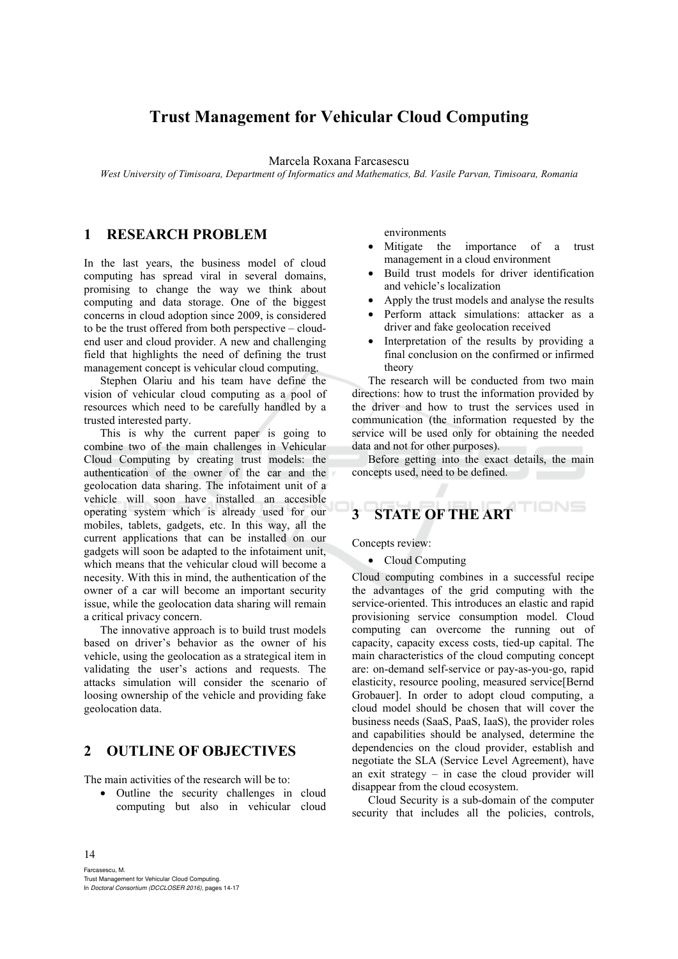# **Trust Management for Vehicular Cloud Computing**

Marcela Roxana Farcasescu

*West University of Timisoara, Department of Informatics and Mathematics, Bd. Vasile Parvan, Timisoara, Romania* 

# **1 RESEARCH PROBLEM**

In the last years, the business model of cloud computing has spread viral in several domains, promising to change the way we think about computing and data storage. One of the biggest concerns in cloud adoption since 2009, is considered to be the trust offered from both perspective – cloudend user and cloud provider. A new and challenging field that highlights the need of defining the trust management concept is vehicular cloud computing.

Stephen Olariu and his team have define the vision of vehicular cloud computing as a pool of resources which need to be carefully handled by a trusted interested party.

This is why the current paper is going to combine two of the main challenges in Vehicular Cloud Computing by creating trust models: the authentication of the owner of the car and the geolocation data sharing. The infotaiment unit of a vehicle will soon have installed an accesible operating system which is already used for our mobiles, tablets, gadgets, etc. In this way, all the current applications that can be installed on our gadgets will soon be adapted to the infotaiment unit, which means that the vehicular cloud will become a necesity. With this in mind, the authentication of the owner of a car will become an important security issue, while the geolocation data sharing will remain a critical privacy concern.

The innovative approach is to build trust models based on driver's behavior as the owner of his vehicle, using the geolocation as a strategical item in validating the user's actions and requests. The attacks simulation will consider the scenario of loosing ownership of the vehicle and providing fake geolocation data.

## **2 OUTLINE OF OBJECTIVES**

The main activities of the research will be to:

• Outline the security challenges in cloud computing but also in vehicular cloud

environments

- Mitigate the importance of a trust management in a cloud environment
- Build trust models for driver identification and vehicle's localization
- Apply the trust models and analyse the results
- Perform attack simulations: attacker as a driver and fake geolocation received
- Interpretation of the results by providing a final conclusion on the confirmed or infirmed theory

The research will be conducted from two main directions: how to trust the information provided by the driver and how to trust the services used in communication (the information requested by the service will be used only for obtaining the needed data and not for other purposes).

Before getting into the exact details, the main concepts used, need to be defined.  $\sim$ 

# **3 STATE OF THE ART**

Concepts review:

• Cloud Computing

Cloud computing combines in a successful recipe the advantages of the grid computing with the service-oriented. This introduces an elastic and rapid provisioning service consumption model. Cloud computing can overcome the running out of capacity, capacity excess costs, tied-up capital. The main characteristics of the cloud computing concept are: on-demand self-service or pay-as-you-go, rapid elasticity, resource pooling, measured service[Bernd Grobauer]. In order to adopt cloud computing, a cloud model should be chosen that will cover the business needs (SaaS, PaaS, IaaS), the provider roles and capabilities should be analysed, determine the dependencies on the cloud provider, establish and negotiate the SLA (Service Level Agreement), have an exit strategy  $-$  in case the cloud provider will disappear from the cloud ecosystem.

Cloud Security is a sub-domain of the computer security that includes all the policies, controls,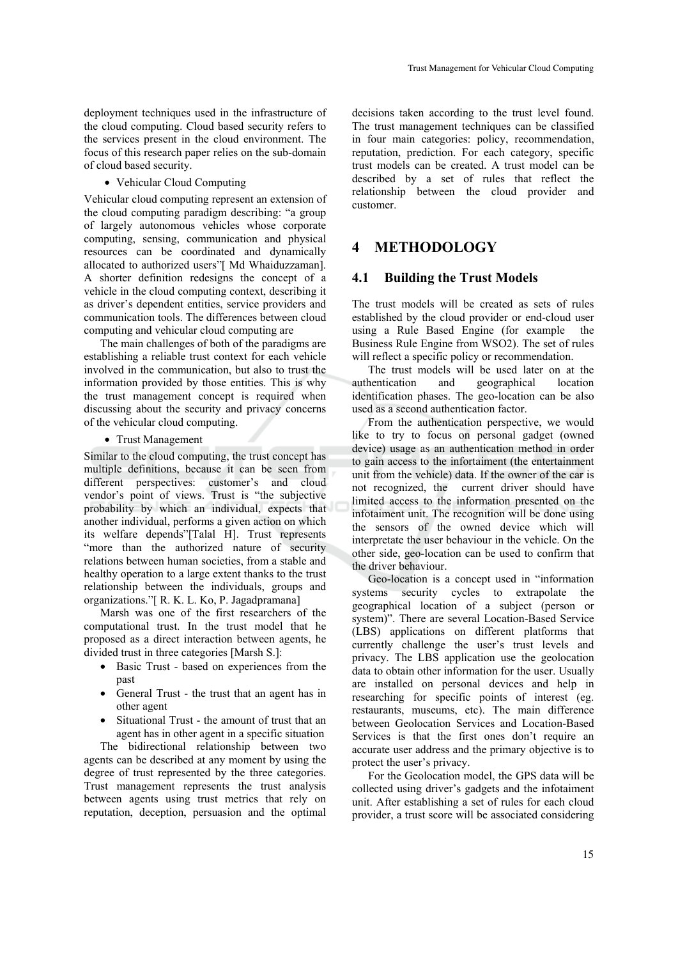deployment techniques used in the infrastructure of the cloud computing. Cloud based security refers to the services present in the cloud environment. The focus of this research paper relies on the sub-domain of cloud based security.

• Vehicular Cloud Computing

Vehicular cloud computing represent an extension of the cloud computing paradigm describing: "a group of largely autonomous vehicles whose corporate computing, sensing, communication and physical resources can be coordinated and dynamically allocated to authorized users"[ Md Whaiduzzaman]. A shorter definition redesigns the concept of a vehicle in the cloud computing context, describing it as driver's dependent entities, service providers and communication tools. The differences between cloud computing and vehicular cloud computing are

The main challenges of both of the paradigms are establishing a reliable trust context for each vehicle involved in the communication, but also to trust the information provided by those entities. This is why the trust management concept is required when discussing about the security and privacy concerns of the vehicular cloud computing.

#### • Trust Management

Similar to the cloud computing, the trust concept has multiple definitions, because it can be seen from different perspectives: customer's and cloud vendor's point of views. Trust is "the subjective probability by which an individual, expects that another individual, performs a given action on which its welfare depends"[Talal H]. Trust represents "more than the authorized nature of security relations between human societies, from a stable and healthy operation to a large extent thanks to the trust relationship between the individuals, groups and organizations."[ R. K. L. Ko, P. Jagadpramana]

Marsh was one of the first researchers of the computational trust. In the trust model that he proposed as a direct interaction between agents, he divided trust in three categories [Marsh S.]:

- Basic Trust based on experiences from the past
- General Trust the trust that an agent has in other agent
- Situational Trust the amount of trust that an agent has in other agent in a specific situation

The bidirectional relationship between two agents can be described at any moment by using the degree of trust represented by the three categories. Trust management represents the trust analysis between agents using trust metrics that rely on reputation, deception, persuasion and the optimal

decisions taken according to the trust level found. The trust management techniques can be classified in four main categories: policy, recommendation, reputation, prediction. For each category, specific trust models can be created. A trust model can be described by a set of rules that reflect the relationship between the cloud provider and customer.

## **4 METHODOLOGY**

#### **4.1 Building the Trust Models**

The trust models will be created as sets of rules established by the cloud provider or end-cloud user using a Rule Based Engine (for example the Business Rule Engine from WSO2). The set of rules will reflect a specific policy or recommendation.

The trust models will be used later on at the authentication and geographical location identification phases. The geo-location can be also used as a second authentication factor.

From the authentication perspective, we would like to try to focus on personal gadget (owned device) usage as an authentication method in order to gain access to the infortaiment (the entertainment unit from the vehicle) data. If the owner of the car is not recognized, the current driver should have limited access to the information presented on the infotaiment unit. The recognition will be done using the sensors of the owned device which will interpretate the user behaviour in the vehicle. On the other side, geo-location can be used to confirm that the driver behaviour.

Geo-location is a concept used in "information systems security cycles to extrapolate the geographical location of a subject (person or system)". There are several Location-Based Service (LBS) applications on different platforms that currently challenge the user's trust levels and privacy. The LBS application use the geolocation data to obtain other information for the user. Usually are installed on personal devices and help in researching for specific points of interest (eg. restaurants, museums, etc). The main difference between Geolocation Services and Location-Based Services is that the first ones don't require an accurate user address and the primary objective is to protect the user's privacy.

For the Geolocation model, the GPS data will be collected using driver's gadgets and the infotaiment unit. After establishing a set of rules for each cloud provider, a trust score will be associated considering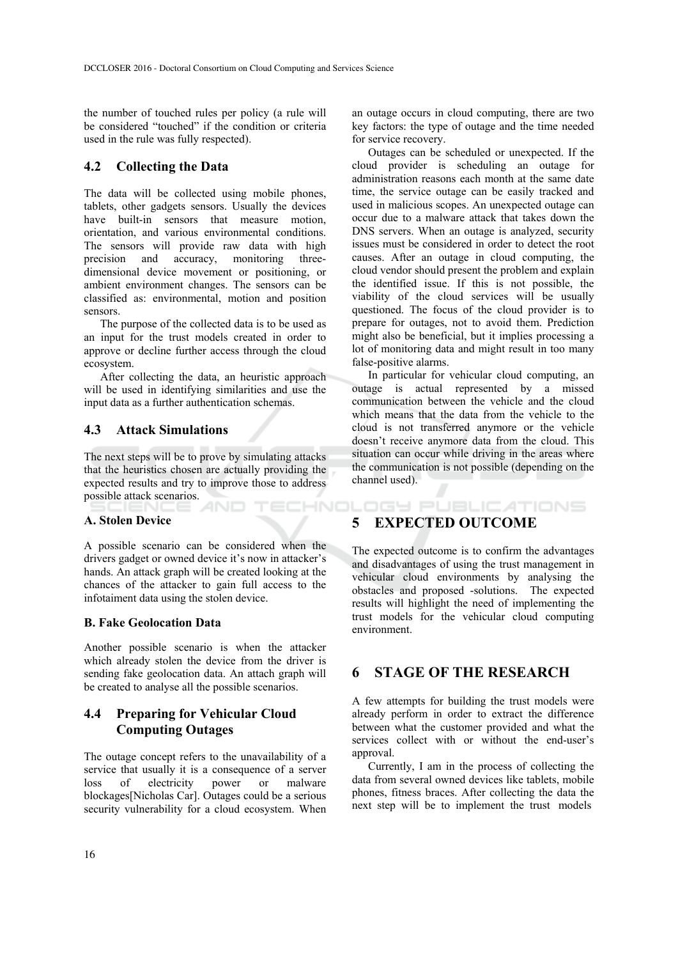the number of touched rules per policy (a rule will be considered "touched" if the condition or criteria used in the rule was fully respected).

## **4.2 Collecting the Data**

The data will be collected using mobile phones, tablets, other gadgets sensors. Usually the devices have built-in sensors that measure motion, orientation, and various environmental conditions. The sensors will provide raw data with high precision and accuracy, monitoring threedimensional device movement or positioning, or ambient environment changes. The sensors can be classified as: environmental, motion and position sensors.

The purpose of the collected data is to be used as an input for the trust models created in order to approve or decline further access through the cloud ecosystem.

After collecting the data, an heuristic approach will be used in identifying similarities and use the input data as a further authentication schemas.

### **4.3 Attack Simulations**

The next steps will be to prove by simulating attacks that the heuristics chosen are actually providing the expected results and try to improve those to address possible attack scenarios. TECHNOLOGY PUBLICATIONS

#### **A. Stolen Device**

A possible scenario can be considered when the drivers gadget or owned device it's now in attacker's hands. An attack graph will be created looking at the chances of the attacker to gain full access to the infotaiment data using the stolen device.

#### **B. Fake Geolocation Data**

Another possible scenario is when the attacker which already stolen the device from the driver is sending fake geolocation data. An attach graph will be created to analyse all the possible scenarios.

## **4.4 Preparing for Vehicular Cloud Computing Outages**

The outage concept refers to the unavailability of a service that usually it is a consequence of a server loss of electricity power or malware blockages[Nicholas Car]. Outages could be a serious security vulnerability for a cloud ecosystem. When

an outage occurs in cloud computing, there are two key factors: the type of outage and the time needed for service recovery.

Outages can be scheduled or unexpected. If the cloud provider is scheduling an outage for administration reasons each month at the same date time, the service outage can be easily tracked and used in malicious scopes. An unexpected outage can occur due to a malware attack that takes down the DNS servers. When an outage is analyzed, security issues must be considered in order to detect the root causes. After an outage in cloud computing, the cloud vendor should present the problem and explain the identified issue. If this is not possible, the viability of the cloud services will be usually questioned. The focus of the cloud provider is to prepare for outages, not to avoid them. Prediction might also be beneficial, but it implies processing a lot of monitoring data and might result in too many false-positive alarms.

In particular for vehicular cloud computing, an outage is actual represented by a missed communication between the vehicle and the cloud which means that the data from the vehicle to the cloud is not transferred anymore or the vehicle doesn't receive anymore data from the cloud. This situation can occur while driving in the areas where the communication is not possible (depending on the channel used).

## **5 EXPECTED OUTCOME**

The expected outcome is to confirm the advantages and disadvantages of using the trust management in vehicular cloud environments by analysing the obstacles and proposed -solutions. The expected results will highlight the need of implementing the trust models for the vehicular cloud computing environment.

## **6 STAGE OF THE RESEARCH**

A few attempts for building the trust models were already perform in order to extract the difference between what the customer provided and what the services collect with or without the end-user's approval.

Currently, I am in the process of collecting the data from several owned devices like tablets, mobile phones, fitness braces. After collecting the data the next step will be to implement the trust models